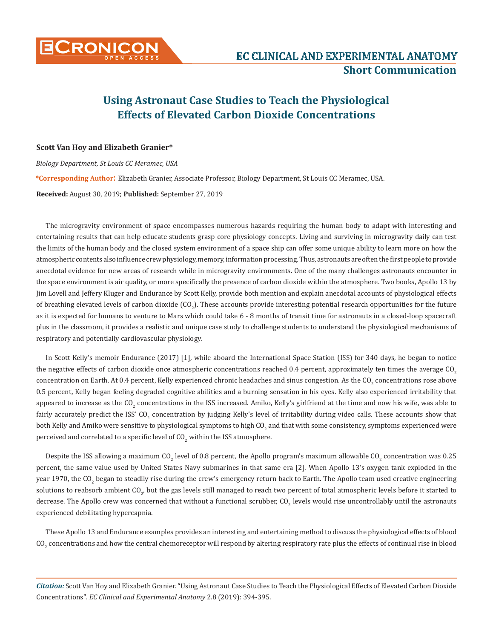

## **Using Astronaut Case Studies to Teach the Physiological Effects of Elevated Carbon Dioxide Concentrations**

## **Scott Van Hoy and Elizabeth Granier\***

*Biology Department, St Louis CC Meramec, USA* **\*Corresponding Author**: Elizabeth Granier, Associate Professor, Biology Department, St Louis CC Meramec, USA. **Received:** August 30, 2019; **Published:** September 27, 2019

The microgravity environment of space encompasses numerous hazards requiring the human body to adapt with interesting and entertaining results that can help educate students grasp core physiology concepts. Living and surviving in microgravity daily can test the limits of the human body and the closed system environment of a space ship can offer some unique ability to learn more on how the atmospheric contents also influence crew physiology, memory, information processing. Thus, astronauts are often the first people to provide anecdotal evidence for new areas of research while in microgravity environments. One of the many challenges astronauts encounter in the space environment is air quality, or more specifically the presence of carbon dioxide within the atmosphere. Two books, Apollo 13 by Jim Lovell and Jeffery Kluger and Endurance by Scott Kelly, provide both mention and explain anecdotal accounts of physiological effects of breathing elevated levels of carbon dioxide (CO<sub>2</sub>). These accounts provide interesting potential research opportunities for the future as it is expected for humans to venture to Mars which could take 6 - 8 months of transit time for astronauts in a closed-loop spacecraft plus in the classroom, it provides a realistic and unique case study to challenge students to understand the physiological mechanisms of respiratory and potentially cardiovascular physiology.

In Scott Kelly's memoir Endurance (2017) [1], while aboard the International Space Station (ISS) for 340 days, he began to notice the negative effects of carbon dioxide once atmospheric concentrations reached 0.4 percent, approximately ten times the average  $CO<sub>2</sub>$ concentration on Earth. At 0.4 percent, Kelly experienced chronic headaches and sinus congestion. As the CO<sub>2</sub> concentrations rose above 0.5 percent, Kelly began feeling degraded cognitive abilities and a burning sensation in his eyes. Kelly also experienced irritability that appeared to increase as the CO<sub>2</sub> concentrations in the ISS increased. Amiko, Kelly's girlfriend at the time and now his wife, was able to fairly accurately predict the ISS' CO<sub>2</sub> concentration by judging Kelly's level of irritability during video calls. These accounts show that both Kelly and Amiko were sensitive to physiological symptoms to high CO<sub>2</sub> and that with some consistency, symptoms experienced were perceived and correlated to a specific level of  $\rm CO_{2}$  within the ISS atmosphere.

Despite the ISS allowing a maximum CO<sub>2</sub> level of 0.8 percent, the Apollo program's maximum allowable CO<sub>2</sub> concentration was 0.25 percent, the same value used by United States Navy submarines in that same era [2]. When Apollo 13's oxygen tank exploded in the year 1970, the CO<sub>2</sub> began to steadily rise during the crew's emergency return back to Earth. The Apollo team used creative engineering solutions to reabsorb ambient CO<sub>2</sub>, but the gas levels still managed to reach two percent of total atmospheric levels before it started to decrease. The Apollo crew was concerned that without a functional scrubber,  $\text{CO}_2$  levels would rise uncontrollably until the astronauts experienced debilitating hypercapnia.

These Apollo 13 and Endurance examples provides an interesting and entertaining method to discuss the physiological effects of blood  ${\rm CO}_2$  concentrations and how the central chemoreceptor will respond by altering respiratory rate plus the effects of continual rise in blood

*Citation:* Scott Van Hoy and Elizabeth Granier. "Using Astronaut Case Studies to Teach the Physiological Effects of Elevated Carbon Dioxide Concentrations"*. EC Clinical and Experimental Anatomy* 2.8 (2019): 394-395.